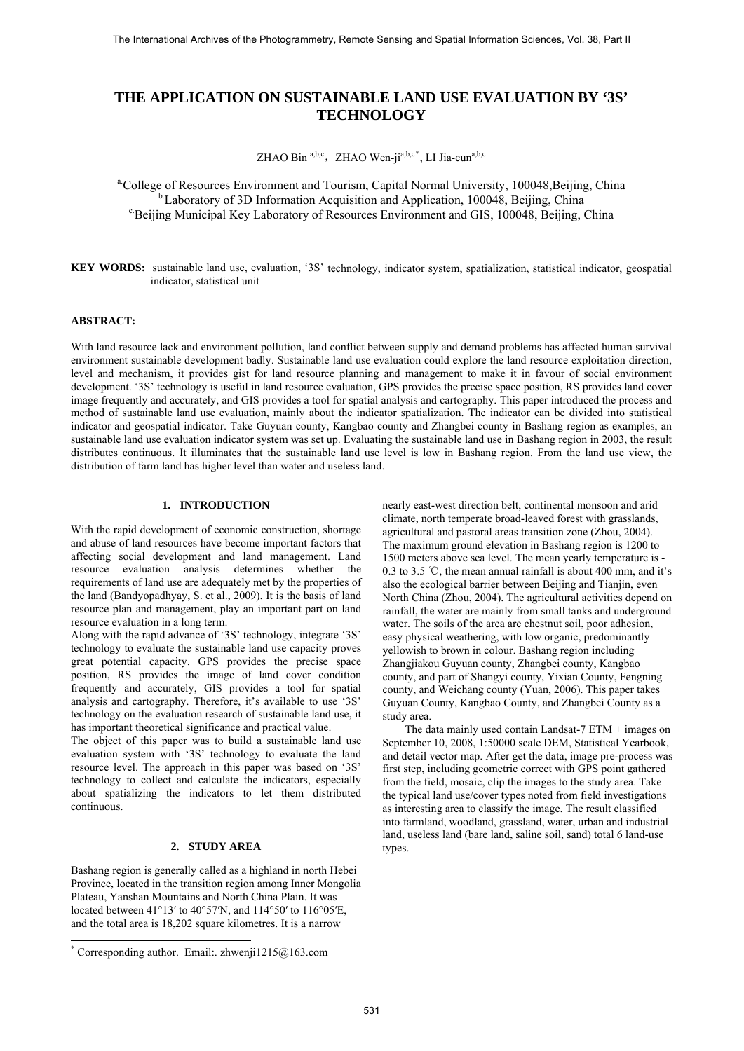# **THE APPLICATION ON SUSTAINABLE LAND USE EVALUATION BY '3S' TECHNOLOGY**

ZHAO Bin <sup>a,b,c</sup>, ZHAO Wen-ji<sup>a,b,c[\\*](#page-0-0)</sup>, LI Jia-cun<sup>a,b,c</sup>

<sup>a</sup>.College of Resources Environment and Tourism, Capital Normal University, 100048,Beijing, China <sup>b.</sup>Laboratory of 3D Information Acquisition and Application, 100048, Beijing, China <sup>c</sup>.<br>Beijing Municipal Key Laboratory of Resources Environment and GIS, 100048, Beijing, China

**KEY WORDS:** sustainable land use, evaluation, '3S' technology, indicator system, spatialization, statistical indicator, geospatial indicator, statistical unit

### **ABSTRACT:**

With land resource lack and environment pollution, land conflict between supply and demand problems has affected human survival environment sustainable development badly. Sustainable land use evaluation could explore the land resource exploitation direction, level and mechanism, it provides gist for land resource planning and management to make it in favour of social environment development. '3S' technology is useful in land resource evaluation, GPS provides the precise space position, RS provides land cover image frequently and accurately, and GIS provides a tool for spatial analysis and cartography. This paper introduced the process and method of sustainable land use evaluation, mainly about the indicator spatialization. The indicator can be divided into statistical indicator and geospatial indicator. Take Guyuan county, Kangbao county and Zhangbei county in Bashang region as examples, an sustainable land use evaluation indicator system was set up. Evaluating the sustainable land use in Bashang region in 2003, the result distributes continuous. It illuminates that the sustainable land use level is low in Bashang region. From the land use view, the distribution of farm land has higher level than water and useless land.

# **1. INTRODUCTION**

With the rapid development of economic construction, shortage and abuse of land resources have become important factors that affecting social development and land management. Land resource evaluation analysis determines whether the requirements of land use are adequately met by the properties of the land (Bandyopadhyay, S. et al., 2009). It is the basis of land resource plan and management, play an important part on land resource evaluation in a long term.

Along with the rapid advance of '3S' technology, integrate '3S' technology to evaluate the sustainable land use capacity proves great potential capacity. GPS provides the precise space position, RS provides the image of land cover condition frequently and accurately, GIS provides a tool for spatial analysis and cartography. Therefore, it's available to use '3S' technology on the evaluation research of sustainable land use, it has important theoretical significance and practical value.

The object of this paper was to build a sustainable land use evaluation system with '3S' technology to evaluate the land resource level. The approach in this paper was based on '3S' technology to collect and calculate the indicators, especially about spatializing the indicators to let them distributed continuous.

# **2. STUDY AREA**

Bashang region is generally called as a highland in north Hebei Province, located in the transition region among Inner Mongolia Plateau, Yanshan Mountains and North China Plain. It was located between 41°13′ to 40°57′N, and 114°50′ to 116°05′E, and the total area is 18,202 square kilometres. It is a narrow

l

nearly east-west direction belt, continental monsoon and arid climate, north temperate broad-leaved forest with grasslands, agricultural and pastoral areas transition zone (Zhou, 2004). The maximum ground elevation in Bashang region is 1200 to 1500 meters above sea level. The mean yearly temperature is - 0.3 to 3.5 °C, the mean annual rainfall is about 400 mm, and it's also the ecological barrier between Beijing and Tianjin, even North China (Zhou, 2004). The agricultural activities depend on rainfall, the water are mainly from small tanks and underground water. The soils of the area are chestnut soil, poor adhesion, easy physical weathering, with low organic, predominantly yellowish to brown in colour. Bashang region including Zhangjiakou Guyuan county, Zhangbei county, Kangbao county, and part of Shangyi county, Yixian County, Fengning county, and Weichang county (Yuan, 2006). This paper takes Guyuan County, Kangbao County, and Zhangbei County as a study area.

The data mainly used contain Landsat-7 ETM + images on September 10, 2008, 1:50000 scale DEM, Statistical Yearbook, and detail vector map. After get the data, image pre-process was first step, including geometric correct with GPS point gathered from the field, mosaic, clip the images to the study area. Take the typical land use/cover types noted from field investigations as interesting area to classify the image. The result classified into farmland, woodland, grassland, water, urban and industrial land, useless land (bare land, saline soil, sand) total 6 land-use types.

<span id="page-0-0"></span><sup>\*</sup> Corresponding author. Email:. zhwenji1215@163.com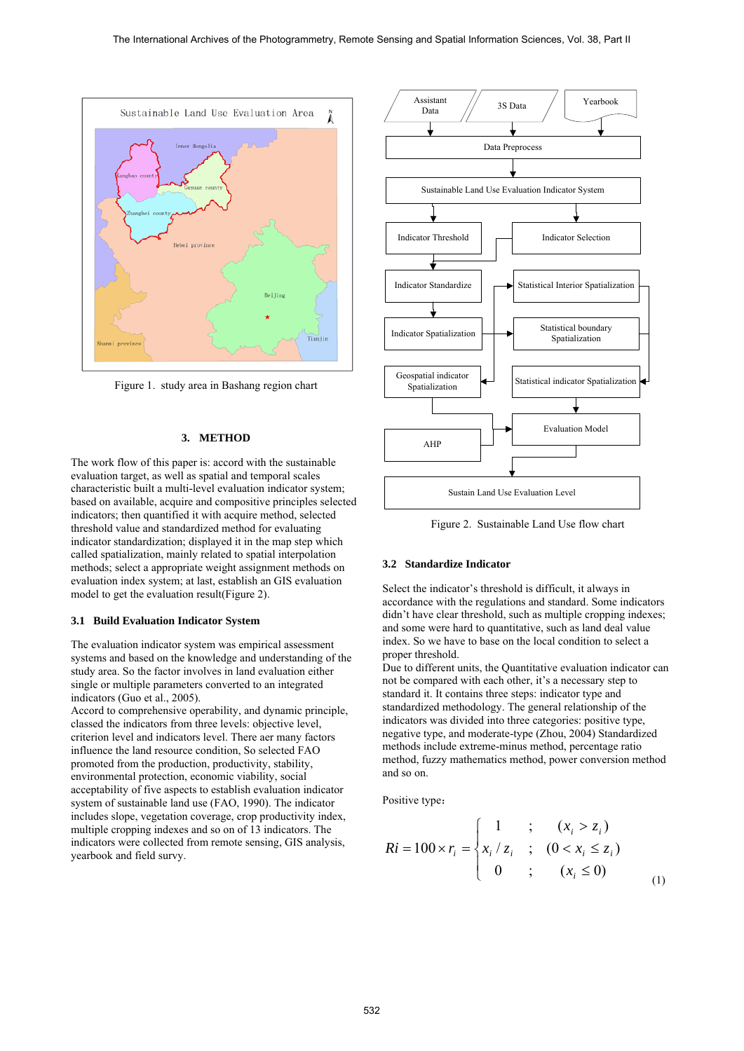

Figure 1. study area in Bashang region chart

### **3. METHOD**

The work flow of this paper is: accord with the sustainable evaluation target, as well as spatial and temporal scales characteristic built a multi-level evaluation indicator system; based on available, acquire and compositive principles selected indicators; then quantified it with acquire method, selected threshold value and standardized method for evaluating indicator standardization; displayed it in the map step which called spatialization, mainly related to spatial interpolation methods; select a appropriate weight assignment methods on evaluation index system; at last, establish an GIS evaluation model to get the evaluation result(Figure 2).

### **3.1 Build Evaluation Indicator System**

The evaluation indicator system was empirical assessment systems and based on the knowledge and understanding of the study area. So the factor involves in land evaluation either single or multiple parameters converted to an integrated indicators (Guo et al., 2005).

Accord to comprehensive operability, and dynamic principle, classed the indicators from three levels: objective level, criterion level and indicators level. There aer many factors influence the land resource condition, So selected FAO promoted from the production, productivity, stability, environmental protection, economic viability, social acceptability of five aspects to establish evaluation indicator system of sustainable land use (FAO, 1990). The indicator includes slope, vegetation coverage, crop productivity index, multiple cropping indexes and so on of 13 indicators. The indicators were collected from remote sensing, GIS analysis, yearbook and field survy.



Figure 2. Sustainable Land Use flow chart

## **3.2 Standardize Indicator**

Select the indicator's threshold is difficult, it always in accordance with the regulations and standard. Some indicators didn't have clear threshold, such as multiple cropping indexes; and some were hard to quantitative, such as land deal value index. So we have to base on the local condition to select a proper threshold.

Due to different units, the Quantitative evaluation indicator can not be compared with each other, it's a necessary step to standard it. It contains three steps: indicator type and standardized methodology. The general relationship of the indicators was divided into three categories: positive type, negative type, and moderate-type (Zhou, 2004) Standardized methods include extreme-minus method, percentage ratio method, fuzzy mathematics method, power conversion method and so on.

Positive type:

$$
Ri = 100 \times r_i = \begin{cases} 1 & ; & (x_i > z_i) \\ x_i / z_i & ; & (0 < x_i \le z_i) \\ 0 & ; & (x_i \le 0) \end{cases}
$$
 (1)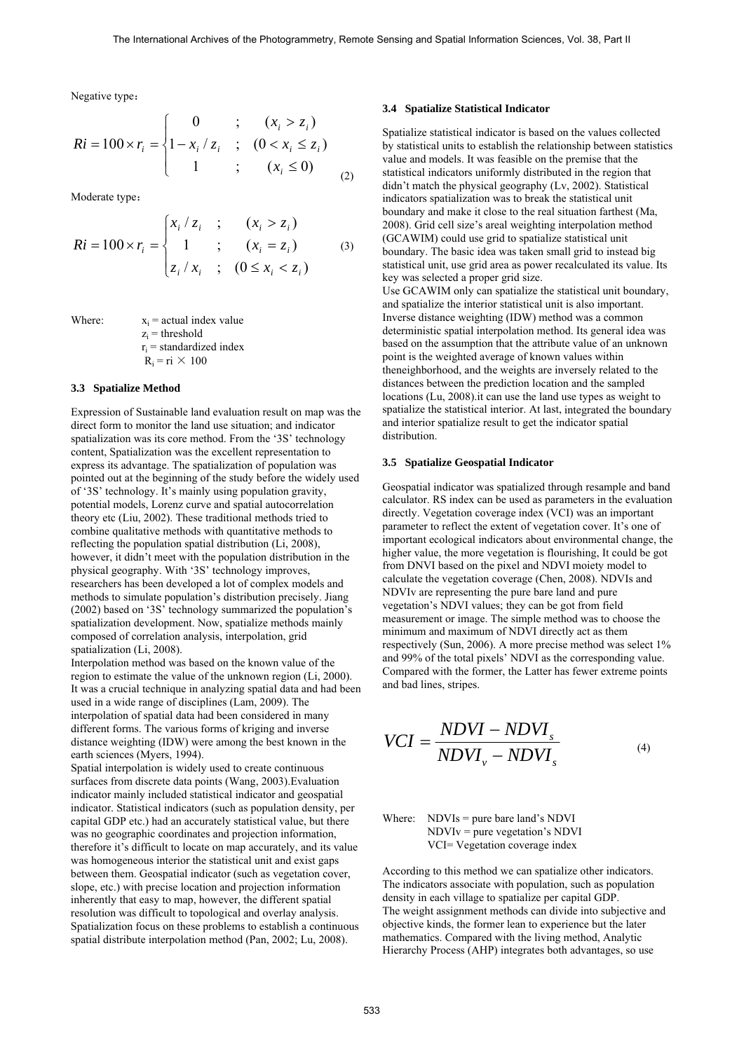Negative type:

$$
Ri = 100 \times r_i = \begin{cases} 0 & ; & (x_i > z_i) \\ 1 - x_i / z_i & ; & (0 < x_i \le z_i) \\ 1 & ; & (x_i \le 0) \\ \end{cases}
$$
 (2)

Moderate type:

$$
Ri = 100 \times r_i = \begin{cases} x_i / z_i & ; & (x_i > z_i) \\ 1 & ; & (x_i = z_i) \\ z_i / x_i & ; & (0 \le x_i < z_i) \end{cases}
$$
 (3)

Where:  $x_i = \text{actual ind}_i$ 

where:  
\n
$$
x_i
$$
 = actual max value  
\n $z_i$  = threshold  
\n $r_i$  = standardized index  
\n $R_i$  = ri × 100

#### **3.3 Spatialize Method**

Expression of Sustainable land evaluation result on map was the direct form to monitor the land use situation; and indicator spatialization was its core method. From the '3S' technology content, Spatialization was the excellent representation to express its advantage. The spatialization of population was pointed out at the beginning of the study before the widely used of '3S' technology. It's mainly using population gravity, potential models, Lorenz curve and spatial autocorrelation theory etc (Liu, 2002). These traditional methods tried to combine qualitative methods with quantitative methods to reflecting the population spatial distribution (Li, 2008), however, it didn't meet with the population distribution in the physical geography. With '3S' technology improves, researchers has been developed a lot of complex models and methods to simulate population's distribution precisely. Jiang (2002) based on '3S' technology summarized the population's spatialization development. Now, spatialize methods mainly composed of correlation analysis, interpolation, grid spatialization (Li, 2008).

Interpolation method was based on the known value of the region to estimate the value of the unknown region (Li, 2000). It was a crucial technique in analyzing spatial data and had been used in a wide range of disciplines (Lam, 2009). The interpolation of spatial data had been considered in many different forms. The various forms of kriging and inverse distance weighting (IDW) were among the best known in the earth sciences (Myers, 1994).

Spatial interpolation is widely used to create continuous surfaces from discrete data points (Wang, 2003).Evaluation indicator mainly included statistical indicator and geospatial indicator. Statistical indicators (such as population density, per capital GDP etc.) had an accurately statistical value, but there was no geographic coordinates and projection information, therefore it's difficult to locate on map accurately, and its value was homogeneous interior the statistical unit and exist gaps between them. Geospatial indicator (such as vegetation cover, slope, etc.) with precise location and projection information inherently that easy to map, however, the different spatial resolution was difficult to topological and overlay analysis. Spatialization focus on these problems to establish a continuous spatial distribute interpolation method (Pan, 2002; Lu, 2008).

#### **3.4 Spatialize Statistical Indicator**

Spatialize statistical indicator is based on the values collected by statistical units to establish the relationship between statistics value and models. It was feasible on the premise that the statistical indicators uniformly distributed in the region that didn't match the physical geography (Lv, 2002). Statistical indicators spatialization was to break the statistical unit boundary and make it close to the real situation farthest (Ma, 2008). Grid cell size's areal weighting interpolation method (GCAWIM) could use grid to spatialize statistical unit boundary. The basic idea was taken small grid to instead big statistical unit, use grid area as power recalculated its value. Its key was selected a proper grid size. Use GCAWIM only can spatialize the statistical unit boundary, and spatialize the interior statistical unit is also important. Inverse distance weighting (IDW) method was a common deterministic spatial interpolation method. Its general idea was based on the assumption that the attribute value of an unknown point is the weighted average of known values within theneighborhood, and the weights are inversely related to the distances between the prediction location and the sampled locations (Lu, 2008).it can use the land use types as weight to spatialize the statistical interior. At last, integrated the boundary and interior spatialize result to get the indicator spatial distribution.

#### **3.5 Spatialize Geospatial Indicator**

Geospatial indicator was spatialized through resample and band calculator. RS index can be used as parameters in the evaluation directly. Vegetation coverage index (VCI) was an important parameter to reflect the extent of vegetation cover. It's one of important ecological indicators about environmental change, the higher value, the more vegetation is flourishing, It could be got from DNVI based on the pixel and NDVI moiety model to calculate the vegetation coverage (Chen, 2008). NDVIs and NDVIv are representing the pure bare land and pure vegetation's NDVI values; they can be got from field measurement or image. The simple method was to choose the minimum and maximum of NDVI directly act as them respectively (Sun, 2006). A more precise method was select 1% and 99% of the total pixels' NDVI as the corresponding value. Compared with the former, the Latter has fewer extreme points and bad lines, stripes.

$$
VCI = \frac{NDVI - NDVI_s}{NDVI_v - NDVI_s}
$$
\n(4)

Where:  $NDVIS = pure bare land's NDVI$  NDVIv = pure vegetation's NDVI VCI= Vegetation coverage index

According to this method we can spatialize other indicators. The indicators associate with population, such as population density in each village to spatialize per capital GDP. The weight assignment methods can divide into subjective and objective kinds, the former lean to experience but the later mathematics. Compared with the living method, Analytic Hierarchy Process (AHP) integrates both advantages, so use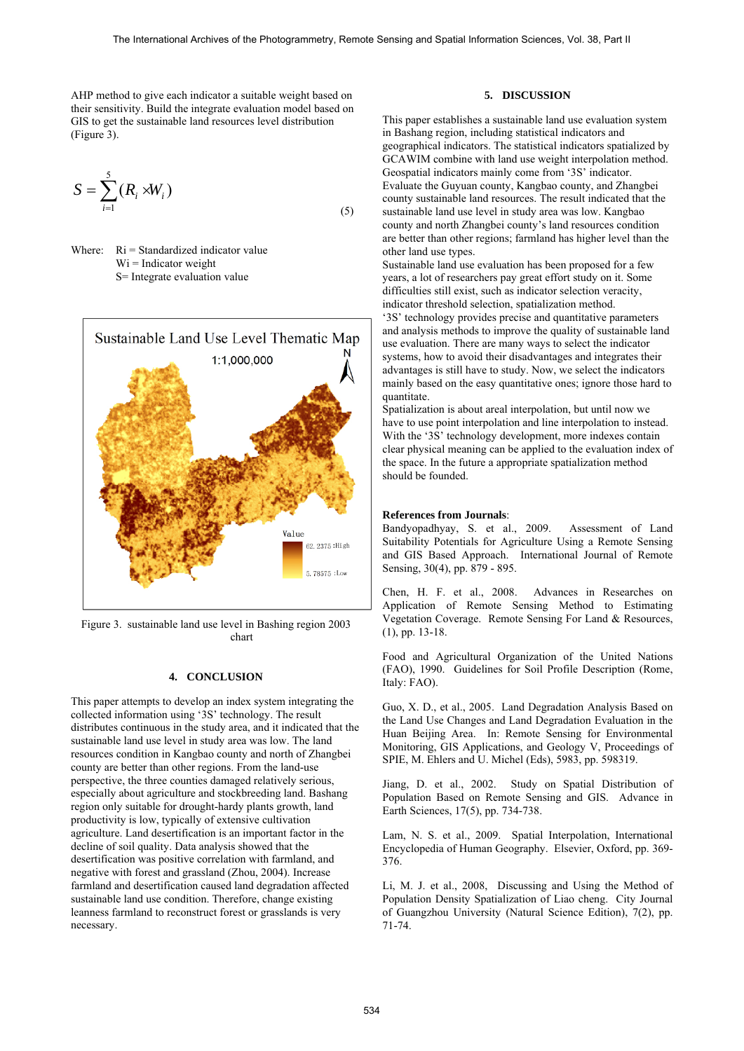AHP method to give each indicator a suitable weight based on their sensitivity. Build the integrate evaluation model based on GIS to get the sustainable land resources level distribution (Figure 3).

$$
S = \sum_{i=1}^{5} (R_i \times W_i)
$$
\n<sup>(5)</sup>

Where:  $\text{Ri} = \text{Standardized indicator value}$  $Wi = Indicator weight$ S= Integrate evaluation value



Figure 3. sustainable land use level in Bashing region 2003 chart

# **4. CONCLUSION**

This paper attempts to develop an index system integrating the collected information using '3S' technology. The result distributes continuous in the study area, and it indicated that the sustainable land use level in study area was low. The land resources condition in Kangbao county and north of Zhangbei county are better than other regions. From the land-use perspective, the three counties damaged relatively serious, especially about agriculture and stockbreeding land. Bashang region only suitable for drought-hardy plants growth, land productivity is low, typically of extensive cultivation agriculture. Land desertification is an important factor in the decline of soil quality. Data analysis showed that the desertification was positive correlation with farmland, and negative with forest and grassland (Zhou, 2004). Increase farmland and desertification caused land degradation affected sustainable land use condition. Therefore, change existing leanness farmland to reconstruct forest or grasslands is very necessary.

# **5. DISCUSSION**

This paper establishes a sustainable land use evaluation system in Bashang region, including statistical indicators and geographical indicators. The statistical indicators spatialized by GCAWIM combine with land use weight interpolation method. Geospatial indicators mainly come from '3S' indicator. Evaluate the Guyuan county, Kangbao county, and Zhangbei county sustainable land resources. The result indicated that the sustainable land use level in study area was low. Kangbao county and north Zhangbei county's land resources condition are better than other regions; farmland has higher level than the other land use types.

Sustainable land use evaluation has been proposed for a few years, a lot of researchers pay great effort study on it. Some difficulties still exist, such as indicator selection veracity, indicator threshold selection, spatialization method.

'3S' technology provides precise and quantitative parameters and analysis methods to improve the quality of sustainable land use evaluation. There are many ways to select the indicator systems, how to avoid their disadvantages and integrates their advantages is still have to study. Now, we select the indicators mainly based on the easy quantitative ones; ignore those hard to quantitate.

Spatialization is about areal interpolation, but until now we have to use point interpolation and line interpolation to instead. With the '3S' technology development, more indexes contain clear physical meaning can be applied to the evaluation index of the space. In the future a appropriate spatialization method should be founded.

## **References from Journals**:

Bandyopadhyay, S. et al., 2009. Assessment of Land Suitability Potentials for Agriculture Using a Remote Sensing and GIS Based Approach. International Journal of Remote Sensing, 30(4), pp. 879 - 895.

Chen, H. F. et al., 2008. Advances in Researches on Application of Remote Sensing Method to Estimating Vegetation Coverage. Remote Sensing For Land & Resources, (1), pp. 13-18.

Food and Agricultural Organization of the United Nations (FAO), 1990. Guidelines for Soil Profile Description (Rome, Italy: FAO).

Guo, X. D., et al., 2005. Land Degradation Analysis Based on the Land Use Changes and Land Degradation Evaluation in the Huan Beijing Area. In: Remote Sensing for Environmental Monitoring, GIS Applications, and Geology V, Proceedings of SPIE, M. Ehlers and U. Michel (Eds), 5983, pp. 598319.

Jiang, D. et al., 2002. Study on Spatial Distribution of Population Based on Remote Sensing and GIS. Advance in Earth Sciences, 17(5), pp. 734-738.

Lam, N. S. et al., 2009. Spatial Interpolation, International Encyclopedia of Human Geography. Elsevier, Oxford, pp. 369- 376.

Li, M. J. et al., 2008, Discussing and Using the Method of Population Density Spatialization of Liao cheng. City Journal of Guangzhou University (Natural Science Edition), 7(2), pp. 71-74.